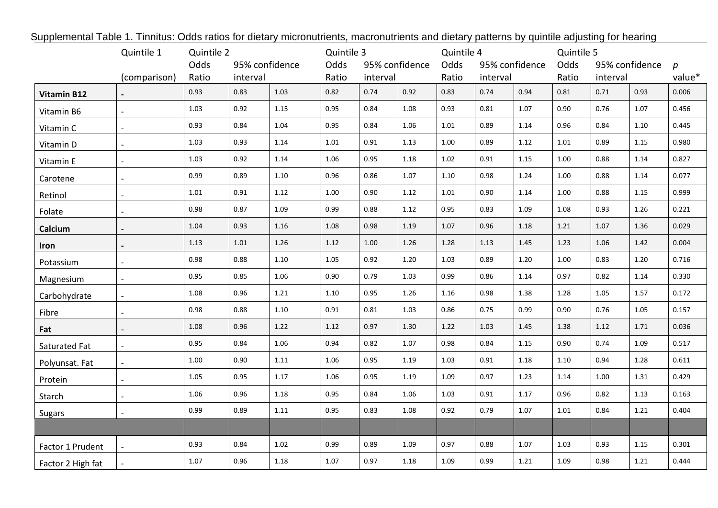| Supplemental Table 1. Tinnitus: Odds ratios for dietary micronutrients, macronutrients and dietary patterns by quintile adjusting for hearing |                |            |                            |          |                                             |      |                        |            |                        |      |            |                  |      |        |
|-----------------------------------------------------------------------------------------------------------------------------------------------|----------------|------------|----------------------------|----------|---------------------------------------------|------|------------------------|------------|------------------------|------|------------|------------------|------|--------|
|                                                                                                                                               | Quintile 1     | Quintile 2 |                            |          | Quintile 3                                  |      |                        | Quintile 4 |                        |      | Quintile 5 |                  |      |        |
|                                                                                                                                               |                | Odds       | 95% confidence<br>interval |          | 95% confidence<br>Odds<br>Ratio<br>interval |      | Odds<br>95% confidence |            | Odds<br>95% confidence |      |            | $\boldsymbol{p}$ |      |        |
|                                                                                                                                               | (comparison)   | Ratio      |                            |          |                                             |      |                        | Ratio      | interval               |      | Ratio      | interval         |      | value* |
| <b>Vitamin B12</b>                                                                                                                            |                | 0.93       | 0.83                       | 1.03     | 0.82                                        | 0.74 | 0.92                   | 0.83       | 0.74                   | 0.94 | 0.81       | 0.71             | 0.93 | 0.006  |
| Vitamin B6                                                                                                                                    |                | 1.03       | 0.92                       | $1.15$   | 0.95                                        | 0.84 | 1.08                   | 0.93       | 0.81                   | 1.07 | 0.90       | 0.76             | 1.07 | 0.456  |
| Vitamin C                                                                                                                                     |                | 0.93       | 0.84                       | 1.04     | 0.95                                        | 0.84 | 1.06                   | $1.01\,$   | 0.89                   | 1.14 | 0.96       | 0.84             | 1.10 | 0.445  |
| Vitamin D                                                                                                                                     |                | 1.03       | 0.93                       | 1.14     | 1.01                                        | 0.91 | 1.13                   | 1.00       | 0.89                   | 1.12 | 1.01       | 0.89             | 1.15 | 0.980  |
| Vitamin E                                                                                                                                     |                | 1.03       | 0.92                       | 1.14     | 1.06                                        | 0.95 | 1.18                   | 1.02       | 0.91                   | 1.15 | 1.00       | 0.88             | 1.14 | 0.827  |
| Carotene                                                                                                                                      |                | 0.99       | 0.89                       | $1.10\,$ | 0.96                                        | 0.86 | 1.07                   | $1.10\,$   | 0.98                   | 1.24 | 1.00       | 0.88             | 1.14 | 0.077  |
| Retinol                                                                                                                                       |                | $1.01\,$   | 0.91                       | 1.12     | 1.00                                        | 0.90 | 1.12                   | 1.01       | 0.90                   | 1.14 | 1.00       | 0.88             | 1.15 | 0.999  |
| Folate                                                                                                                                        |                | 0.98       | 0.87                       | 1.09     | 0.99                                        | 0.88 | 1.12                   | 0.95       | 0.83                   | 1.09 | 1.08       | 0.93             | 1.26 | 0.221  |
| Calcium                                                                                                                                       |                | 1.04       | 0.93                       | 1.16     | 1.08                                        | 0.98 | 1.19                   | 1.07       | 0.96                   | 1.18 | 1.21       | 1.07             | 1.36 | 0.029  |
| <b>Iron</b>                                                                                                                                   |                | 1.13       | 1.01                       | 1.26     | 1.12                                        | 1.00 | 1.26                   | 1.28       | 1.13                   | 1.45 | 1.23       | 1.06             | 1.42 | 0.004  |
| Potassium                                                                                                                                     |                | 0.98       | 0.88                       | $1.10\,$ | 1.05                                        | 0.92 | $1.20\,$               | 1.03       | 0.89                   | 1.20 | 1.00       | 0.83             | 1.20 | 0.716  |
| Magnesium                                                                                                                                     | $\mathbb{L}$   | 0.95       | 0.85                       | 1.06     | 0.90                                        | 0.79 | 1.03                   | 0.99       | 0.86                   | 1.14 | 0.97       | 0.82             | 1.14 | 0.330  |
| Carbohydrate                                                                                                                                  |                | 1.08       | 0.96                       | 1.21     | 1.10                                        | 0.95 | 1.26                   | 1.16       | 0.98                   | 1.38 | 1.28       | 1.05             | 1.57 | 0.172  |
| Fibre                                                                                                                                         |                | 0.98       | 0.88                       | 1.10     | 0.91                                        | 0.81 | 1.03                   | 0.86       | 0.75                   | 0.99 | 0.90       | 0.76             | 1.05 | 0.157  |
| Fat                                                                                                                                           |                | 1.08       | 0.96                       | 1.22     | 1.12                                        | 0.97 | 1.30                   | 1.22       | 1.03                   | 1.45 | 1.38       | 1.12             | 1.71 | 0.036  |
| Saturated Fat                                                                                                                                 |                | 0.95       | 0.84                       | 1.06     | 0.94                                        | 0.82 | 1.07                   | 0.98       | 0.84                   | 1.15 | 0.90       | 0.74             | 1.09 | 0.517  |
| Polyunsat. Fat                                                                                                                                | $\overline{a}$ | 1.00       | 0.90                       | 1.11     | 1.06                                        | 0.95 | 1.19                   | 1.03       | 0.91                   | 1.18 | 1.10       | 0.94             | 1.28 | 0.611  |
| Protein                                                                                                                                       |                | 1.05       | 0.95                       | 1.17     | 1.06                                        | 0.95 | 1.19                   | 1.09       | 0.97                   | 1.23 | 1.14       | 1.00             | 1.31 | 0.429  |
| Starch                                                                                                                                        |                | 1.06       | 0.96                       | 1.18     | 0.95                                        | 0.84 | 1.06                   | 1.03       | 0.91                   | 1.17 | 0.96       | 0.82             | 1.13 | 0.163  |
| <b>Sugars</b>                                                                                                                                 |                | 0.99       | 0.89                       | $1.11\,$ | 0.95                                        | 0.83 | 1.08                   | 0.92       | 0.79                   | 1.07 | 1.01       | 0.84             | 1.21 | 0.404  |
|                                                                                                                                               |                |            |                            |          |                                             |      |                        |            |                        |      |            |                  |      |        |
| Factor 1 Prudent                                                                                                                              |                | 0.93       | 0.84                       | $1.02\,$ | 0.99                                        | 0.89 | 1.09                   | 0.97       | 0.88                   | 1.07 | 1.03       | 0.93             | 1.15 | 0.301  |
| Factor 2 High fat                                                                                                                             |                | 1.07       | 0.96                       | 1.18     | 1.07                                        | 0.97 | 1.18                   | 1.09       | 0.99                   | 1.21 | 1.09       | 0.98             | 1.21 | 0.444  |